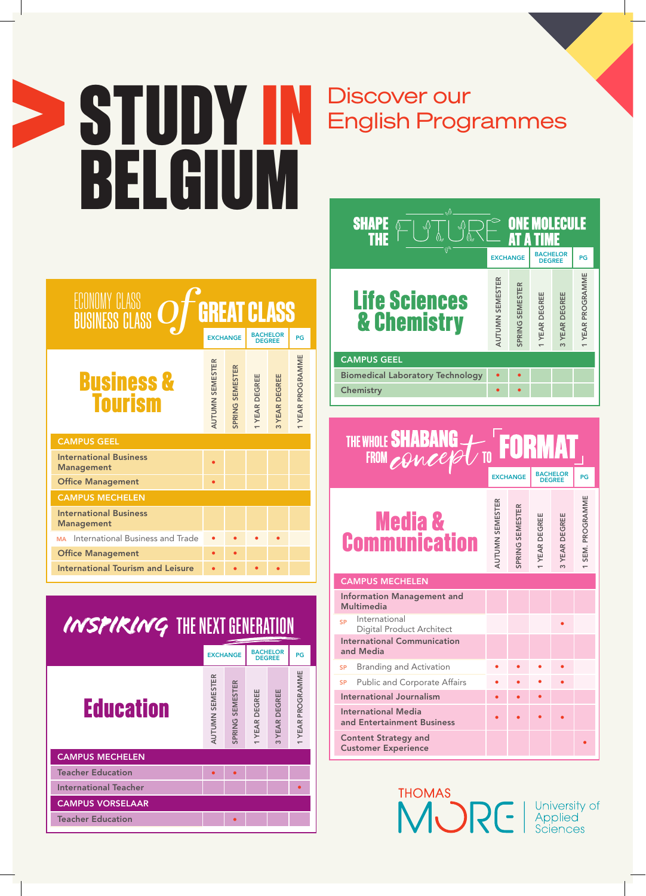## $\geq$  STUDY IN BELGIUM

## Discover our<br>English Programmes

| ECONOMY CLASS<br><b>GREAT CLASS</b><br><b>BUSINESS CLASS</b> |                        |                 |                                  |               |                  |
|--------------------------------------------------------------|------------------------|-----------------|----------------------------------|---------------|------------------|
|                                                              | <b>EXCHANGE</b>        |                 | <b>BACHELOR</b><br><b>DEGREE</b> |               | PG               |
| <b>Business &amp;<br/>Tourism</b>                            | <b>AUTUMN SEMESTER</b> | SPRING SEMESTER | <b>I YEAR DEGREE</b>             | 3 YEAR DEGREE | 1 YEAR PROGRAMME |
| <b>CAMPUS GEEL</b>                                           |                        |                 |                                  |               |                  |
| <b>International Business</b><br><b>Management</b>           |                        |                 |                                  |               |                  |
| <b>Office Management</b>                                     |                        |                 |                                  |               |                  |
| <b>CAMPUS MECHELEN</b>                                       |                        |                 |                                  |               |                  |
| <b>International Business</b><br><b>Management</b>           |                        |                 |                                  |               |                  |
| International Business and Trade<br><b>MA</b>                |                        |                 |                                  |               |                  |
| <b>Office Management</b>                                     |                        |                 |                                  |               |                  |
| <b>International Tourism and Leisure</b>                     |                        |                 |                                  |               |                  |

| INSPIRING THE NEXT GENERATION |                        |                 |                    |                                  |                |
|-------------------------------|------------------------|-----------------|--------------------|----------------------------------|----------------|
|                               |                        | <b>EXCHANGE</b> |                    | <b>BACHELOR</b><br><b>DEGREE</b> | PG             |
| <b>Education</b>              | <b>AUTUMN SEMESTER</b> | SPRING SEMESTER | <b>YEAR DEGREE</b> | <b>YEAR DEGREE</b><br>$\infty$   | YEAR PROGRAMME |
| <b>CAMPUS MECHELEN</b>        |                        |                 |                    |                                  |                |
| <b>Teacher Education</b>      |                        |                 |                    |                                  |                |
| <b>International Teacher</b>  |                        |                 |                    |                                  | ٠              |
| <b>CAMPUS VORSELAAR</b>       |                        |                 |                    |                                  |                |
| <b>Teacher Education</b>      |                        |                 |                    |                                  |                |



## THE WHOLE SHABANG TO **FORMAT** EXCHANGE BACHELOR PG

| <b>Media &amp;<br/>Communication</b>                      | AUTUMN SEMESTER | SPRING SEMESTER | 1 YEAR DEGREE | 3 YEAR DEGREE | 1 SEM. PROGRAMME |
|-----------------------------------------------------------|-----------------|-----------------|---------------|---------------|------------------|
| <b>CAMPUS MECHELEN</b>                                    |                 |                 |               |               |                  |
| <b>Information Management and</b><br><b>Multimedia</b>    |                 |                 |               |               |                  |
| International<br><b>SP</b><br>Digital Product Architect   |                 |                 |               |               |                  |
| <b>International Communication</b><br>and Media           |                 |                 |               |               |                  |
| Branding and Activation<br>SP                             |                 |                 |               |               |                  |
| SP Public and Corporate Affairs                           |                 |                 |               |               |                  |
| <b>International Journalism</b>                           |                 |                 |               |               |                  |
| <b>International Media</b><br>and Entertainment Business  |                 |                 |               |               |                  |
| <b>Content Strategy and</b><br><b>Customer Experience</b> |                 |                 |               |               |                  |

THOMAS<br>MURE

Γ

University of<br>Applied Sciences